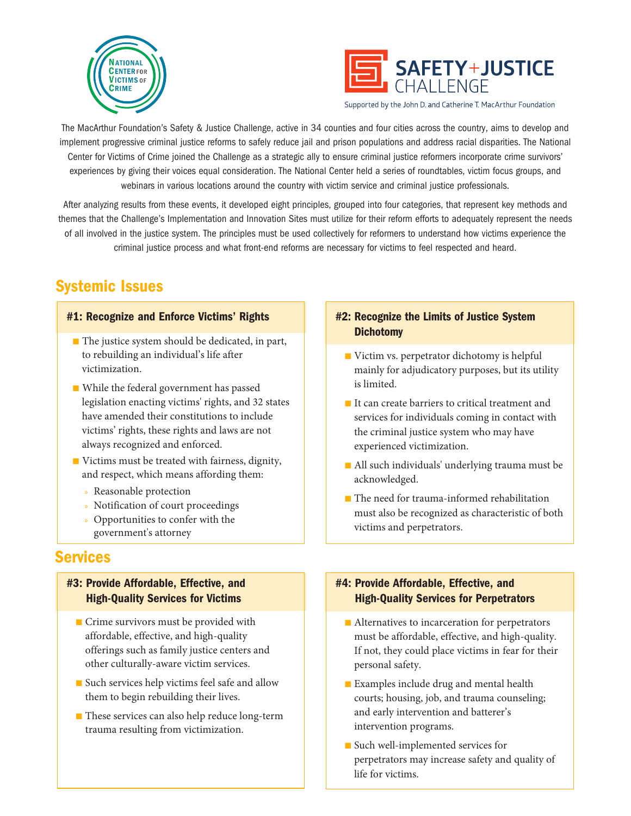



Supported by the John D. and Catherine T. MacArthur Foundation

The MacArthur Foundation's Safety & Justice Challenge, active in 34 counties and four cities across the country, aims to develop and implement progressive criminal justice reforms to safely reduce jail and prison populations and address racial disparities. The National Center for Victims of Crime joined the Challenge as a strategic ally to ensure criminal justice reformers incorporate crime survivors' experiences by giving their voices equal consideration. The National Center held a series of roundtables, victim focus groups, and webinars in various locations around the country with victim service and criminal justice professionals.

After analyzing results from these events, it developed eight principles, grouped into four categories, that represent key methods and themes that the Challenge's Implementation and Innovation Sites must utilize for their reform efforts to adequately represent the needs of all involved in the justice system. The principles must be used collectively for reformers to understand how victims experience the criminal justice process and what front-end reforms are necessary for victims to feel respected and heard.

# Systemic Issues

#### #1: Recognize and Enforce Victims' Rights

- The justice system should be dedicated, in part, to rebuilding an individual's life after victimization.
- While the federal government has passed legislation enacting victims' rights, and 32 states have amended their constitutions to include victims' rights, these rights and laws are not always recognized and enforced.
- Victims must be treated with fairness, dignity, and respect, which means affording them:
	- » Reasonable protection
	- » Notification of court proceedings
	- » Opportunities to confer with the government's attorney

# Services

## #3: Provide Affordable, Effective, and High-Quality Services for Victims

- Crime survivors must be provided with affordable, effective, and high-quality offerings such as family justice centers and other culturally-aware victim services.
- Such services help victims feel safe and allow them to begin rebuilding their lives.
- These services can also help reduce long-term trauma resulting from victimization.

### #2: Recognize the Limits of Justice System **Dichotomy**

- Victim vs. perpetrator dichotomy is helpful mainly for adjudicatory purposes, but its utility is limited.
- It can create barriers to critical treatment and services for individuals coming in contact with the criminal justice system who may have experienced victimization.
- All such individuals' underlying trauma must be acknowledged.
- The need for trauma-informed rehabilitation must also be recognized as characteristic of both victims and perpetrators.

## #4: Provide Affordable, Effective, and High-Quality Services for Perpetrators

- Alternatives to incarceration for perpetrators must be affordable, effective, and high-quality. If not, they could place victims in fear for their personal safety.
- Examples include drug and mental health courts; housing, job, and trauma counseling; and early intervention and batterer's intervention programs.
- Such well-implemented services for perpetrators may increase safety and quality of life for victims.